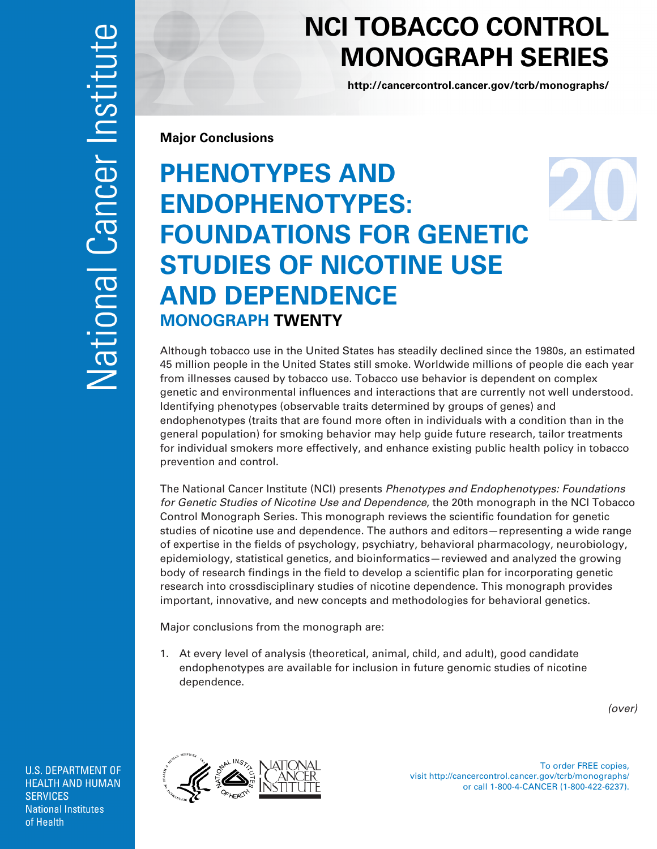## **NCI TOBACCO CONTROL MONOGRAPH SERIES**

**<http://cancercontrol.cancer.gov/tcrb/monographs/>**

**Major Conclusions** 

## **PHENOTYPES AND ENDOPHENOTYPES: FOUNDATIONS FOR GENETIC STUDIES OF NICOTINE USE AND DEPENDENCE MONOGRAPH TWENTY**

Although tobacco use in the United States has steadily declined since the 1980s, an estimated 45 million people in the United States still smoke. Worldwide millions of people die each year from illnesses caused by tobacco use. Tobacco use behavior is dependent on complex genetic and environmental influences and interactions that are currently not well understood. Identifying phenotypes (observable traits determined by groups of genes) and endophenotypes (traits that are found more often in individuals with a condition than in the general population) for smoking behavior may help guide future research, tailor treatments for individual smokers more effectively, and enhance existing public health policy in tobacco prevention and control.

The National Cancer Institute (NCI) presents *Phenotypes and Endophenotypes: Foundations for Genetic Studies of Nicotine Use and Dependence*, the 20th monograph in the NCI Tobacco Control Monograph Series. This monograph reviews the scientific foundation for genetic studies of nicotine use and dependence. The authors and editors—representing a wide range of expertise in the fields of psychology, psychiatry, behavioral pharmacology, neurobiology, epidemiology, statistical genetics, and bioinformatics—reviewed and analyzed the growing body of research findings in the field to develop a scientific plan for incorporating genetic research into crossdisciplinary studies of nicotine dependence. This monograph provides important, innovative, and new concepts and methodologies for behavioral genetics.

Major conclusions from the monograph are:

1. At every level of analysis (theoretical, animal, child, and adult), good candidate endophenotypes are available for inclusion in future genomic studies of nicotine dependence.

*(over)* 

**U.S. DEPARTMENT OF HEALTH AND HUMAN SERVICES National Institutes** of Health



To order FREE copies, visit http://cancercontrol.cancer.gov/tcrb/monographs/ or call 1-800-4-CANCER (1-800-422-6237).